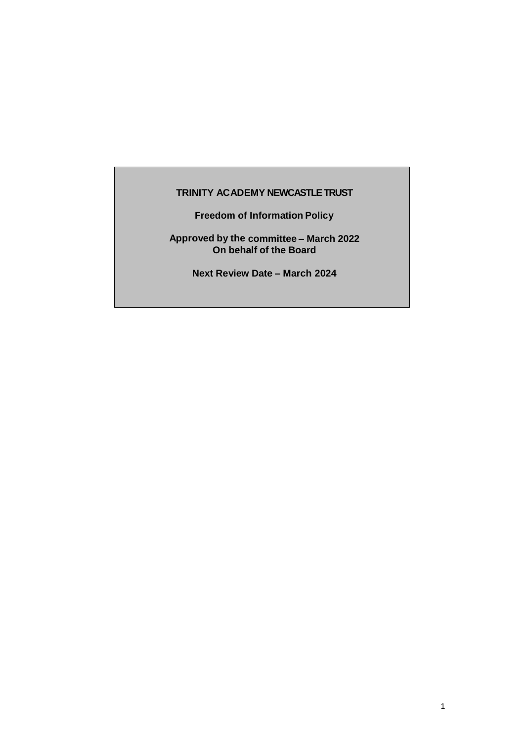# **TRINITY ACADEMY NEWCASTLETRUST**

**Freedom of Information Policy**

**Approved by the committee – March 2022 On behalf of the Board**

**Next Review Date – March 2024**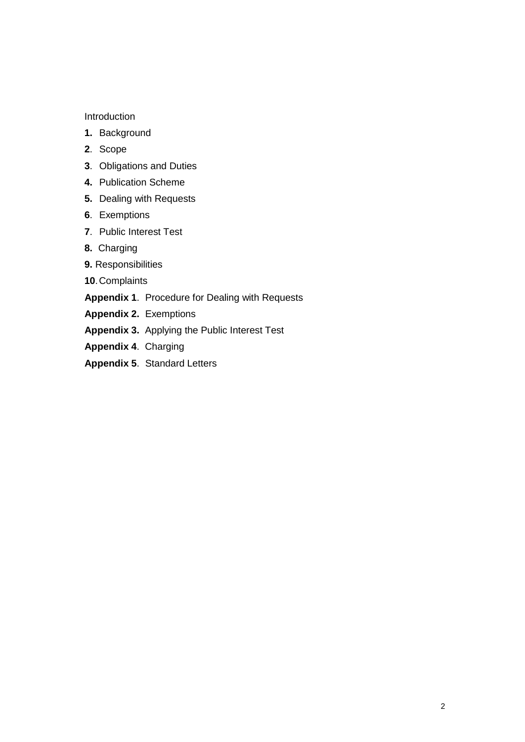#### Introduction

- **1.** Background
- **2**. Scope
- **3**. Obligations and Duties
- **4.** Publication Scheme
- **5.** Dealing with Requests
- **6**. Exemptions
- **7**. Public Interest Test
- **8.** Charging
- **9.** Responsibilities
- **10**.Complaints

**Appendix 1**. Procedure for Dealing with Requests

- **Appendix 2.** Exemptions
- **Appendix 3.** Applying the Public Interest Test
- **Appendix 4**. Charging
- **Appendix 5**. Standard Letters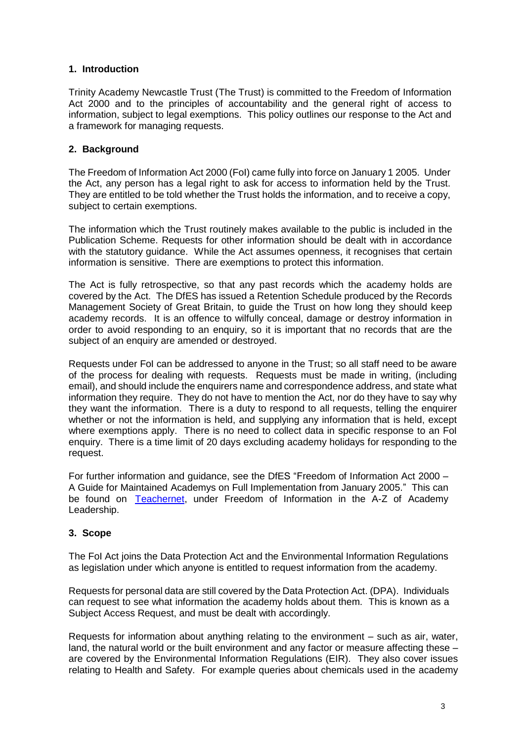# **1. Introduction**

Trinity Academy Newcastle Trust (The Trust) is committed to the Freedom of Information Act 2000 and to the principles of accountability and the general right of access to information, subject to legal exemptions. This policy outlines our response to the Act and a framework for managing requests.

# **2. Background**

The Freedom of Information Act 2000 (FoI) came fully into force on January 1 2005. Under the Act, any person has a legal right to ask for access to information held by the Trust. They are entitled to be told whether the Trust holds the information, and to receive a copy, subject to certain exemptions.

The information which the Trust routinely makes available to the public is included in the Publication Scheme. Requests for other information should be dealt with in accordance with the statutory guidance. While the Act assumes openness, it recognises that certain information is sensitive. There are exemptions to protect this information.

The Act is fully retrospective, so that any past records which the academy holds are covered by the Act. The DfES has issued a Retention Schedule produced by the Records Management Society of Great Britain, to guide the Trust on how long they should keep academy records. It is an offence to wilfully conceal, damage or destroy information in order to avoid responding to an enquiry, so it is important that no records that are the subject of an enquiry are amended or destroyed.

Requests under FoI can be addressed to anyone in the Trust; so all staff need to be aware of the process for dealing with requests. Requests must be made in writing, (including email), and should include the enquirers name and correspondence address, and state what information they require. They do not have to mention the Act, nor do they have to say why they want the information. There is a duty to respond to all requests, telling the enquirer whether or not the information is held, and supplying any information that is held, except where exemptions apply. There is no need to collect data in specific response to an Fol enquiry. There is a time limit of 20 days excluding academy holidays for responding to the request.

For further information and guidance, see the DfES "Freedom of Information Act 2000 – A Guide for Maintained Academys on Full Implementation from January 2005." This can be found on [Teachernet,](http://www.teachernet.gov.uk/management/atoz/f/freedomofinformationforschools/) under Freedom of Information in the A-Z of Academy Leadership.

#### **3. Scope**

The FoI Act joins the Data Protection Act and the Environmental Information Regulations as legislation under which anyone is entitled to request information from the academy.

Requests for personal data are still covered by the Data Protection Act. (DPA). Individuals can request to see what information the academy holds about them. This is known as a Subject Access Request, and must be dealt with accordingly.

Requests for information about anything relating to the environment – such as air, water, land, the natural world or the built environment and any factor or measure affecting these – are covered by the Environmental Information Regulations (EIR). They also cover issues relating to Health and Safety. For example queries about chemicals used in the academy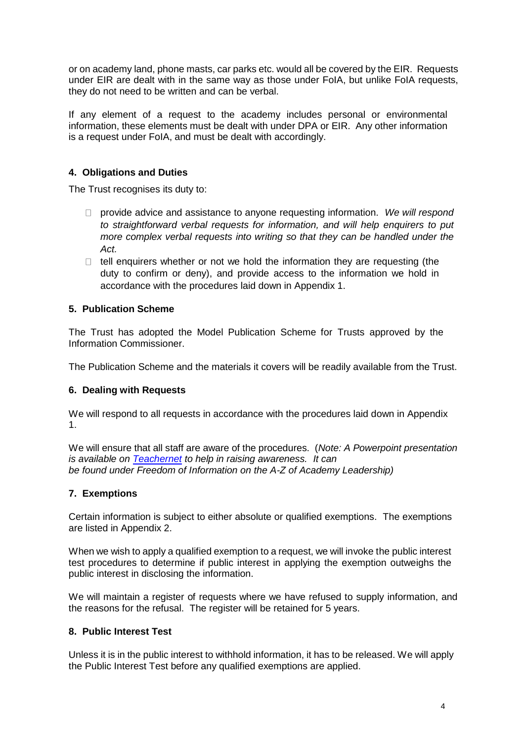or on academy land, phone masts, car parks etc. would all be covered by the EIR. Requests under EIR are dealt with in the same way as those under FoIA, but unlike FoIA requests, they do not need to be written and can be verbal.

If any element of a request to the academy includes personal or environmental information, these elements must be dealt with under DPA or EIR. Any other information is a request under FoIA, and must be dealt with accordingly.

# **4. Obligations and Duties**

The Trust recognises its duty to:

- provide advice and assistance to anyone requesting information. *We will respond to straightforward verbal requests for information, and will help enquirers to put more complex verbal requests into writing so that they can be handled under the Act.*
- $\Box$  tell enquirers whether or not we hold the information they are requesting (the duty to confirm or deny), and provide access to the information we hold in accordance with the procedures laid down in Appendix 1.

### **5. Publication Scheme**

The Trust has adopted the Model Publication Scheme for Trusts approved by the Information Commissioner.

The Publication Scheme and the materials it covers will be readily available from the Trust.

#### **6. Dealing with Requests**

We will respond to all requests in accordance with the procedures laid down in Appendix 1.

We will ensure that all staff are aware of the procedures. (*Note: A Powerpoint presentation is available on [Teachernet](http://www.teachernet.gov.uk/management/atoz/f/freedomofinformationforschools/) to help in raising awareness. It can be found under Freedom of Information on the A-Z of Academy Leadership)*

# **7. Exemptions**

Certain information is subject to either absolute or qualified exemptions. The exemptions are listed in Appendix 2.

When we wish to apply a qualified exemption to a request, we will invoke the public interest test procedures to determine if public interest in applying the exemption outweighs the public interest in disclosing the information.

We will maintain a register of requests where we have refused to supply information, and the reasons for the refusal. The register will be retained for 5 years.

#### **8. Public Interest Test**

Unless it is in the public interest to withhold information, it has to be released. We will apply the Public Interest Test before any qualified exemptions are applied.